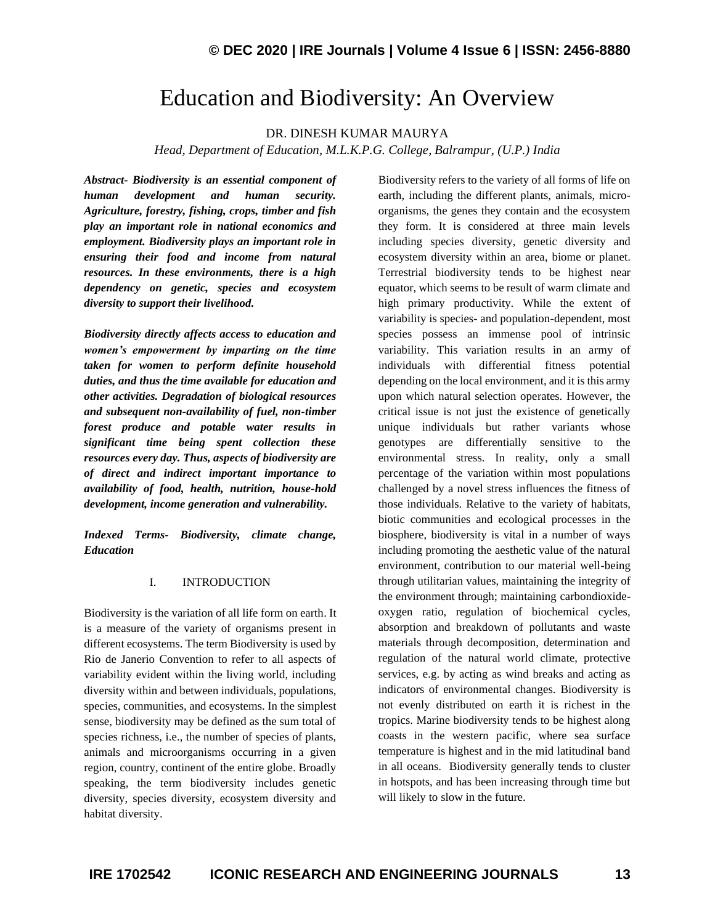## Education and Biodiversity: An Overview

DR. DINESH KUMAR MAURYA

*Head, Department of Education, M.L.K.P.G. College, Balrampur, (U.P.) India*

*Abstract- Biodiversity is an essential component of human development and human security. Agriculture, forestry, fishing, crops, timber and fish play an important role in national economics and employment. Biodiversity plays an important role in ensuring their food and income from natural resources. In these environments, there is a high dependency on genetic, species and ecosystem diversity to support their livelihood.*

*Biodiversity directly affects access to education and women's empowerment by imparting on the time taken for women to perform definite household duties, and thus the time available for education and other activities. Degradation of biological resources and subsequent non-availability of fuel, non-timber forest produce and potable water results in significant time being spent collection these resources every day. Thus, aspects of biodiversity are of direct and indirect important importance to availability of food, health, nutrition, house-hold development, income generation and vulnerability.*

*Indexed Terms- Biodiversity, climate change, Education*

## I. INTRODUCTION

Biodiversity is the variation of all life form on earth. It is a measure of the variety of organisms present in different ecosystems. The term Biodiversity is used by Rio de Janerio Convention to refer to all aspects of variability evident within the living world, including diversity within and between individuals, populations, species, communities, and ecosystems. In the simplest sense, biodiversity may be defined as the sum total of species richness, i.e., the number of species of plants, animals and microorganisms occurring in a given region, country, continent of the entire globe. Broadly speaking, the term biodiversity includes genetic diversity, species diversity, ecosystem diversity and habitat diversity.

Biodiversity refers to the variety of all forms of life on earth, including the different plants, animals, microorganisms, the genes they contain and the ecosystem they form. It is considered at three main levels including species diversity, genetic diversity and ecosystem diversity within an area, biome or planet. Terrestrial biodiversity tends to be highest near equator, which seems to be result of warm climate and high primary productivity. While the extent of variability is species- and population-dependent, most species possess an immense pool of intrinsic variability. This variation results in an army of individuals with differential fitness potential depending on the local environment, and it is this army upon which natural selection operates. However, the critical issue is not just the existence of genetically unique individuals but rather variants whose genotypes are differentially sensitive to the environmental stress. In reality, only a small percentage of the variation within most populations challenged by a novel stress influences the fitness of those individuals. Relative to the variety of habitats, biotic communities and ecological processes in the biosphere, biodiversity is vital in a number of ways including promoting the aesthetic value of the natural environment, contribution to our material well-being through utilitarian values, maintaining the integrity of the environment through; maintaining carbondioxideoxygen ratio, regulation of biochemical cycles, absorption and breakdown of pollutants and waste materials through decomposition, determination and regulation of the natural world climate, protective services, e.g. by acting as wind breaks and acting as indicators of environmental changes. Biodiversity is not evenly distributed on earth it is richest in the tropics. Marine biodiversity tends to be highest along coasts in the western pacific, where sea surface temperature is highest and in the mid latitudinal band in all oceans. Biodiversity generally tends to cluster in hotspots, and has been increasing through time but will likely to slow in the future.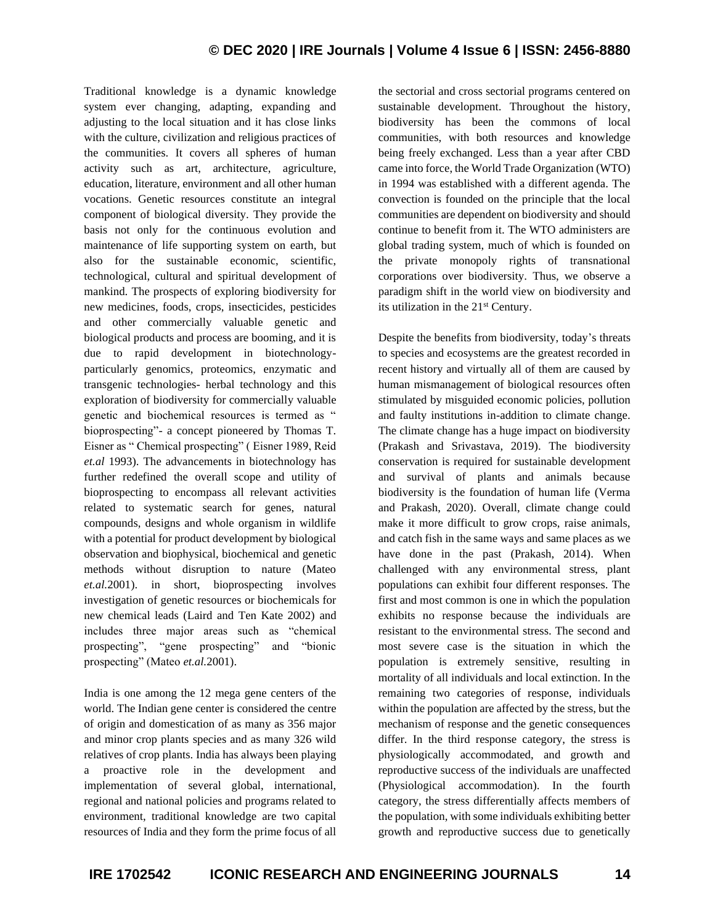Traditional knowledge is a dynamic knowledge system ever changing, adapting, expanding and adjusting to the local situation and it has close links with the culture, civilization and religious practices of the communities. It covers all spheres of human activity such as art, architecture, agriculture, education, literature, environment and all other human vocations. Genetic resources constitute an integral component of biological diversity. They provide the basis not only for the continuous evolution and maintenance of life supporting system on earth, but also for the sustainable economic, scientific, technological, cultural and spiritual development of mankind. The prospects of exploring biodiversity for new medicines, foods, crops, insecticides, pesticides and other commercially valuable genetic and biological products and process are booming, and it is due to rapid development in biotechnologyparticularly genomics, proteomics, enzymatic and transgenic technologies- herbal technology and this exploration of biodiversity for commercially valuable genetic and biochemical resources is termed as " bioprospecting"- a concept pioneered by Thomas T. Eisner as " Chemical prospecting" ( Eisner 1989, Reid *et.al* 1993). The advancements in biotechnology has further redefined the overall scope and utility of bioprospecting to encompass all relevant activities related to systematic search for genes, natural compounds, designs and whole organism in wildlife with a potential for product development by biological observation and biophysical, biochemical and genetic methods without disruption to nature (Mateo *et.al.*2001). in short, bioprospecting involves investigation of genetic resources or biochemicals for new chemical leads (Laird and Ten Kate 2002) and includes three major areas such as "chemical prospecting", "gene prospecting" and "bionic prospecting" (Mateo *et.al.*2001).

India is one among the 12 mega gene centers of the world. The Indian gene center is considered the centre of origin and domestication of as many as 356 major and minor crop plants species and as many 326 wild relatives of crop plants. India has always been playing a proactive role in the development and implementation of several global, international, regional and national policies and programs related to environment, traditional knowledge are two capital resources of India and they form the prime focus of all the sectorial and cross sectorial programs centered on sustainable development. Throughout the history, biodiversity has been the commons of local communities, with both resources and knowledge being freely exchanged. Less than a year after CBD came into force, the World Trade Organization (WTO) in 1994 was established with a different agenda. The convection is founded on the principle that the local communities are dependent on biodiversity and should continue to benefit from it. The WTO administers are global trading system, much of which is founded on the private monopoly rights of transnational corporations over biodiversity. Thus, we observe a paradigm shift in the world view on biodiversity and its utilization in the 21st Century.

Despite the benefits from biodiversity, today's threats to species and ecosystems are the greatest recorded in recent history and virtually all of them are caused by human mismanagement of biological resources often stimulated by misguided economic policies, pollution and faulty institutions in-addition to climate change. The climate change has a huge impact on biodiversity (Prakash and Srivastava, 2019). The biodiversity conservation is required for sustainable development and survival of plants and animals because biodiversity is the foundation of human life (Verma and Prakash, 2020). Overall, climate change could make it more difficult to grow crops, raise animals, and catch fish in the same ways and same places as we have done in the past (Prakash, 2014). When challenged with any environmental stress, plant populations can exhibit four different responses. The first and most common is one in which the population exhibits no response because the individuals are resistant to the environmental stress. The second and most severe case is the situation in which the population is extremely sensitive, resulting in mortality of all individuals and local extinction. In the remaining two categories of response, individuals within the population are affected by the stress, but the mechanism of response and the genetic consequences differ. In the third response category, the stress is physiologically accommodated, and growth and reproductive success of the individuals are unaffected (Physiological accommodation). In the fourth category, the stress differentially affects members of the population, with some individuals exhibiting better growth and reproductive success due to genetically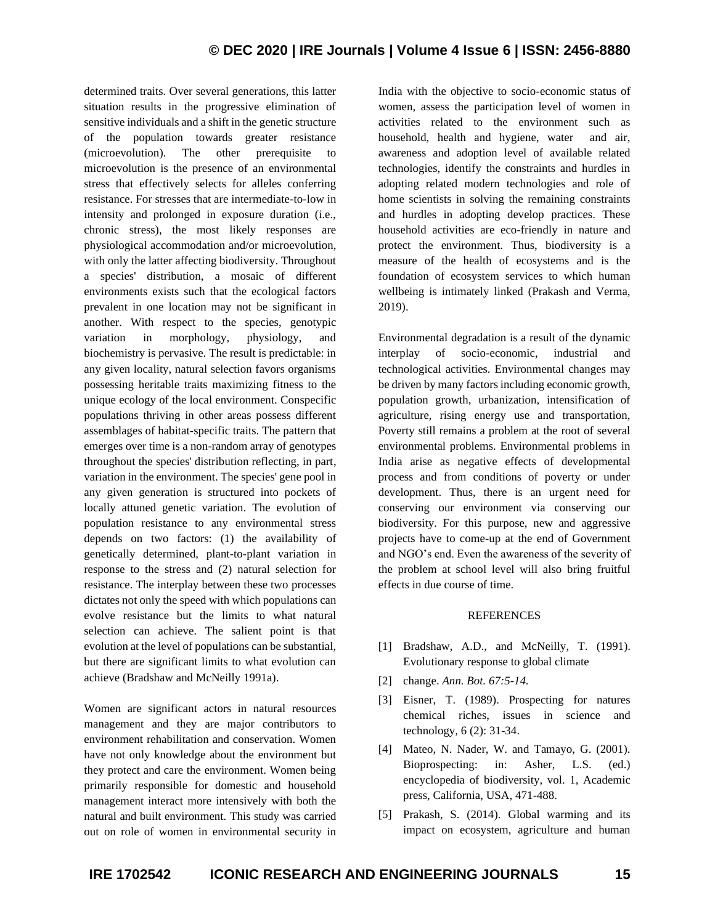determined traits. Over several generations, this latter situation results in the progressive elimination of sensitive individuals and a shift in the genetic structure of the population towards greater resistance (microevolution). The other prerequisite to microevolution is the presence of an environmental stress that effectively selects for alleles conferring resistance. For stresses that are intermediate-to-low in intensity and prolonged in exposure duration (i.e., chronic stress), the most likely responses are physiological accommodation and/or microevolution, with only the latter affecting biodiversity. Throughout a species' distribution, a mosaic of different environments exists such that the ecological factors prevalent in one location may not be significant in another. With respect to the species, genotypic variation in morphology, physiology, and biochemistry is pervasive. The result is predictable: in any given locality, natural selection favors organisms possessing heritable traits maximizing fitness to the unique ecology of the local environment. Conspecific populations thriving in other areas possess different assemblages of habitat-specific traits. The pattern that emerges over time is a non-random array of genotypes throughout the species' distribution reflecting, in part, variation in the environment. The species' gene pool in any given generation is structured into pockets of locally attuned genetic variation. The evolution of population resistance to any environmental stress depends on two factors: (1) the availability of genetically determined, plant-to-plant variation in response to the stress and (2) natural selection for resistance. The interplay between these two processes dictates not only the speed with which populations can evolve resistance but the limits to what natural selection can achieve. The salient point is that evolution at the level of populations can be substantial, but there are significant limits to what evolution can achieve (Bradshaw and McNeilly 1991a).

Women are significant actors in natural resources management and they are major contributors to environment rehabilitation and conservation. Women have not only knowledge about the environment but they protect and care the environment. Women being primarily responsible for domestic and household management interact more intensively with both the natural and built environment. This study was carried out on role of women in environmental security in India with the objective to socio-economic status of women, assess the participation level of women in activities related to the environment such as household, health and hygiene, water and air, awareness and adoption level of available related technologies, identify the constraints and hurdles in adopting related modern technologies and role of home scientists in solving the remaining constraints and hurdles in adopting develop practices. These household activities are eco-friendly in nature and protect the environment. Thus, biodiversity is a measure of the health of ecosystems and is the foundation of ecosystem services to which human wellbeing is intimately linked (Prakash and Verma, 2019).

Environmental degradation is a result of the dynamic interplay of socio-economic, industrial and technological activities. Environmental changes may be driven by many factors including economic growth, population growth, urbanization, intensification of agriculture, rising energy use and transportation, Poverty still remains a problem at the root of several environmental problems. Environmental problems in India arise as negative effects of developmental process and from conditions of poverty or under development. Thus, there is an urgent need for conserving our environment via conserving our biodiversity. For this purpose, new and aggressive projects have to come-up at the end of Government and NGO's end. Even the awareness of the severity of the problem at school level will also bring fruitful effects in due course of time.

## REFERENCES

- [1] Bradshaw, A.D., and McNeilly, T. (1991). Evolutionary response to global climate
- [2] change. *Ann. Bot. 67:5-14.*
- [3] Eisner, T. (1989). Prospecting for natures chemical riches, issues in science and technology, 6 (2): 31-34.
- [4] Mateo, N. Nader, W. and Tamayo, G. (2001). Bioprospecting: in: Asher, L.S. (ed.) encyclopedia of biodiversity, vol. 1, Academic press, California, USA, 471-488.
- [5] Prakash, S. (2014). Global warming and its impact on ecosystem, agriculture and human